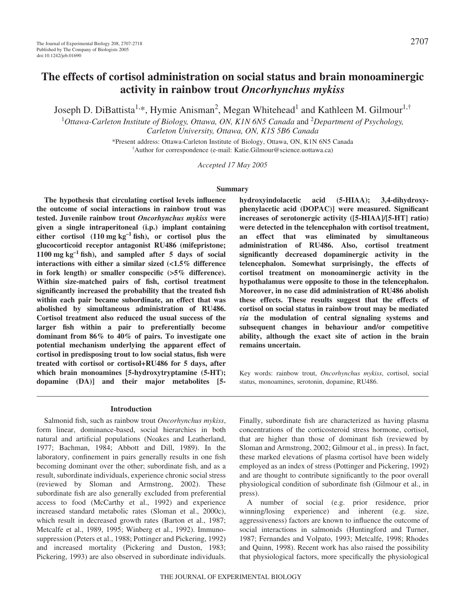# **The effects of cortisol administration on social status and brain monoaminergic activity in rainbow trout** *Oncorhynchus mykiss*

Joseph D. DiBattista<sup>1,\*</sup>, Hymie Anisman<sup>2</sup>, Megan Whitehead<sup>1</sup> and Kathleen M. Gilmour<sup>1,†</sup>

<sup>1</sup>Ottawa-Carleton Institute of Biology, Ottawa, ON, K1N 6N5 Canada and <sup>2</sup>Department of Psychology, *Carleton University, Ottawa, ON, K1S 5B6 Canada*

> \*Present address: Ottawa-Carleton Institute of Biology, Ottawa, ON, K1N 6N5 Canada † Author for correspondence (e-mail: Katie.Gilmour@science.uottawa.ca)

> > *Accepted 17 May 2005*

#### **Summary**

**The hypothesis that circulating cortisol levels influence the outcome of social interactions in rainbow trout was tested. Juvenile rainbow trout** *Oncorhynchus mykiss* **were given a single intraperitoneal (i.p.) implant containing** either cortisol  $(110 \text{ mg kg}^{-1} \text{ fish})$ , or cortisol plus the **glucocorticoid receptor antagonist RU486 (mifepristone;**  $1100$  mg kg<sup>-1</sup> fish), and sampled after 5 days of social **interactions with either a similar sized (<1.5% difference in fork length) or smaller conspecific (>5% difference). Within size-matched pairs of fish, cortisol treatment significantly increased the probability that the treated fish within each pair became subordinate, an effect that was abolished by simultaneous administration of RU486. Cortisol treatment also reduced the usual success of the larger fish within a pair to preferentially become dominant from 86% to 40% of pairs. To investigate one potential mechanism underlying the apparent effect of cortisol in predisposing trout to low social status, fish were treated with cortisol or cortisol+RU486 for 5 days, after which brain monoamines [5-hydroxytryptamine (5-HT); dopamine (DA)] and their major metabolites [5-**

**Introduction**

Salmonid fish, such as rainbow trout *Oncorhynchus mykiss*, form linear, dominance-based, social hierarchies in both natural and artificial populations (Noakes and Leatherland, 1977; Bachman, 1984; Abbott and Dill, 1989). In the laboratory, confinement in pairs generally results in one fish becoming dominant over the other; subordinate fish, and as a result, subordinate individuals, experience chronic social stress (reviewed by Sloman and Armstrong, 2002). These subordinate fish are also generally excluded from preferential access to food (McCarthy et al., 1992) and experience increased standard metabolic rates (Sloman et al., 2000c), which result in decreased growth rates (Barton et al., 1987; Metcalfe et al., 1989, 1995; Winberg et al., 1992). Immunosuppression (Peters et al., 1988; Pottinger and Pickering, 1992) and increased mortality (Pickering and Duston, 1983; Pickering, 1993) are also observed in subordinate individuals.

**hydroxyindolacetic acid (5-HIAA); 3,4-dihydroxyphenylacetic acid (DOPAC)] were measured. Significant increases of serotonergic activity ([5-HIAA]/[5-HT] ratio) were detected in the telencephalon with cortisol treatment, an effect that was eliminated by simultaneous administration of RU486. Also, cortisol treatment significantly decreased dopaminergic activity in the telencephalon. Somewhat surprisingly, the effects of cortisol treatment on monoaminergic activity in the hypothalamus were opposite to those in the telencephalon. Moreover, in no case did administration of RU486 abolish these effects. These results suggest that the effects of cortisol on social status in rainbow trout may be mediated** *via* **the modulation of central signaling systems and subsequent changes in behaviour and/or competitive ability, although the exact site of action in the brain remains uncertain.** 

Key words: rainbow trout, *Oncorhynchus mykiss*, cortisol, social status, monoamines, serotonin, dopamine, RU486.

Finally, subordinate fish are characterized as having plasma concentrations of the corticosteroid stress hormone, cortisol, that are higher than those of dominant fish (reviewed by Sloman and Armstrong, 2002; Gilmour et al., in press). In fact, these marked elevations of plasma cortisol have been widely employed as an index of stress (Pottinger and Pickering, 1992) and are thought to contribute significantly to the poor overall physiological condition of subordinate fish (Gilmour et al., in press).

A number of social (e.g. prior residence, prior winning/losing experience) and inherent (e.g. size, aggressiveness) factors are known to influence the outcome of social interactions in salmonids (Huntingford and Turner, 1987; Fernandes and Volpato, 1993; Metcalfe, 1998; Rhodes and Quinn, 1998). Recent work has also raised the possibility that physiological factors, more specifically the physiological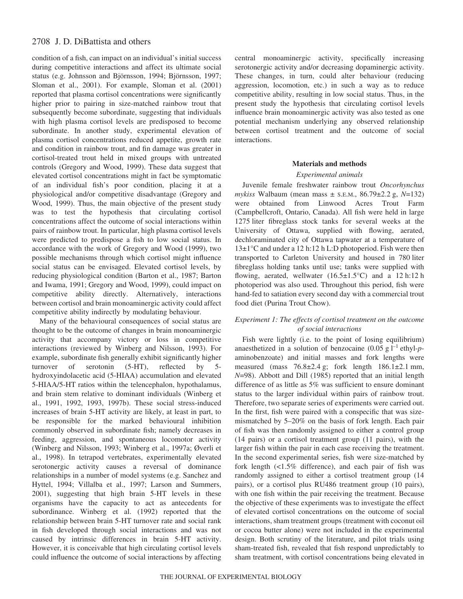condition of a fish, can impact on an individual's initial success during competitive interactions and affect its ultimate social status (e.g. Johnsson and Björnsson, 1994; Björnsson, 1997; Sloman et al., 2001). For example, Sloman et al. (2001) reported that plasma cortisol concentrations were significantly higher prior to pairing in size-matched rainbow trout that subsequently become subordinate, suggesting that individuals with high plasma cortisol levels are predisposed to become subordinate. In another study, experimental elevation of plasma cortisol concentrations reduced appetite, growth rate and condition in rainbow trout, and fin damage was greater in cortisol-treated trout held in mixed groups with untreated controls (Gregory and Wood, 1999). These data suggest that elevated cortisol concentrations might in fact be symptomatic of an individual fish's poor condition, placing it at a physiological and/or competitive disadvantage (Gregory and Wood, 1999). Thus, the main objective of the present study was to test the hypothesis that circulating cortisol concentrations affect the outcome of social interactions within pairs of rainbow trout. In particular, high plasma cortisol levels were predicted to predispose a fish to low social status. In accordance with the work of Gregory and Wood (1999), two possible mechanisms through which cortisol might influence social status can be envisaged. Elevated cortisol levels, by reducing physiological condition (Barton et al., 1987; Barton and Iwama, 1991; Gregory and Wood, 1999), could impact on competitive ability directly. Alternatively, interactions between cortisol and brain monoaminergic activity could affect competitive ability indirectly by modulating behaviour.

Many of the behavioural consequences of social status are thought to be the outcome of changes in brain monoaminergic activity that accompany victory or loss in competitive interactions (reviewed by Winberg and Nilsson, 1993). For example, subordinate fish generally exhibit significantly higher turnover of serotonin (5-HT), reflected by 5 hydroxyindolacetic acid (5-HIAA) accumulation and elevated 5-HIAA/5-HT ratios within the telencephalon, hypothalamus, and brain stem relative to dominant individuals (Winberg et al., 1991, 1992, 1993, 1997b). These social stress-induced increases of brain 5-HT activity are likely, at least in part, to be responsible for the marked behavioural inhibition commonly observed in subordinate fish; namely decreases in feeding, aggression, and spontaneous locomotor activity (Winberg and Nilsson, 1993; Winberg et al., 1997a; Øverli et al., 1998). In tetrapod vertebrates, experimentally elevated serotonergic activity causes a reversal of dominance relationships in a number of model systems (e.g. Sanchez and Hyttel, 1994; Villalba et al., 1997; Larson and Summers, 2001), suggesting that high brain 5-HT levels in these organisms have the capacity to act as antecedents for subordinance. Winberg et al. (1992) reported that the relationship between brain 5-HT turnover rate and social rank in fish developed through social interactions and was not caused by intrinsic differences in brain 5-HT activity. However, it is conceivable that high circulating cortisol levels could influence the outcome of social interactions by affecting

central monoaminergic activity, specifically increasing serotonergic activity and/or decreasing dopaminergic activity. These changes, in turn, could alter behaviour (reducing aggression, locomotion, etc.) in such a way as to reduce competitive ability, resulting in low social status. Thus, in the present study the hypothesis that circulating cortisol levels influence brain monoaminergic activity was also tested as one potential mechanism underlying any observed relationship between cortisol treatment and the outcome of social interactions.

### **Materials and methods**

## *Experimental animals*

Juvenile female freshwater rainbow trout *Oncorhynchus*  $mykiss$  Walbaum (mean mass  $\pm$  s.e.m., 86.79 $\pm$ 2.2 g,  $N=132$ ) were obtained from Linwood Acres Trout Farm (Campbellcroft, Ontario, Canada). All fish were held in large 1275 liter fibreglass stock tanks for several weeks at the University of Ottawa, supplied with flowing, aerated, dechloraminated city of Ottawa tapwater at a temperature of  $13\pm1\degree$ C and under a 12 h:12 h L:D photoperiod. Fish were then transported to Carleton University and housed in 780 liter fibreglass holding tanks until use; tanks were supplied with flowing, aerated, wellwater  $(16.5 \pm 1.5^{\circ}\text{C})$  and a 12 h:12 h photoperiod was also used. Throughout this period, fish were hand-fed to satiation every second day with a commercial trout food diet (Purina Trout Chow).

## *Experiment 1: The effects of cortisol treatment on the outcome of social interactions*

Fish were lightly (i.e. to the point of losing equilibrium) anaesthetized in a solution of benzocaine  $(0.05 \text{ g l}^{-1} \text{ ethyl-}p$ aminobenzoate) and initial masses and fork lengths were measured (mass  $76.8\pm2.4$  g; fork length  $186.1\pm2.1$  mm, *N*=98). Abbott and Dill (1985) reported that an initial length difference of as little as 5% was sufficient to ensure dominant status to the larger individual within pairs of rainbow trout. Therefore, two separate series of experiments were carried out. In the first, fish were paired with a conspecific that was sizemismatched by 5–20% on the basis of fork length. Each pair of fish was then randomly assigned to either a control group (14 pairs) or a cortisol treatment group (11 pairs), with the larger fish within the pair in each case receiving the treatment. In the second experimental series, fish were size-matched by fork length (<1.5% difference), and each pair of fish was randomly assigned to either a cortisol treatment group (14 pairs), or a cortisol plus RU486 treatment group (10 pairs), with one fish within the pair receiving the treatment. Because the objective of these experiments was to investigate the effect of elevated cortisol concentrations on the outcome of social interactions, sham treatment groups (treatment with coconut oil or cocoa butter alone) were not included in the experimental design. Both scrutiny of the literature, and pilot trials using sham-treated fish, revealed that fish respond unpredictably to sham treatment, with cortisol concentrations being elevated in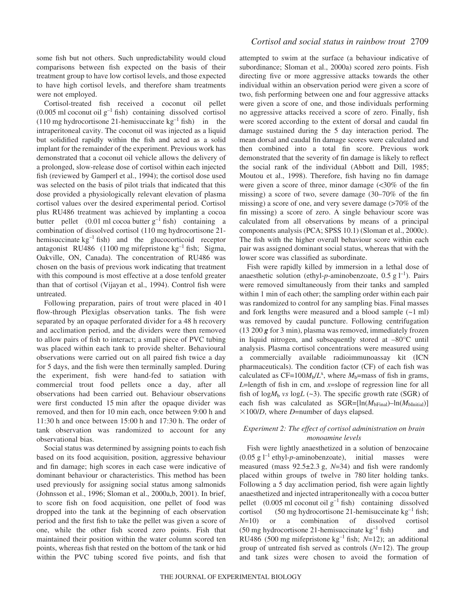some fish but not others. Such unpredictability would cloud comparisons between fish expected on the basis of their treatment group to have low cortisol levels, and those expected to have high cortisol levels, and therefore sham treatments were not employed.

Cortisol-treated fish received a coconut oil pellet  $(0.005 \text{ ml coconut oil g}^{-1}$  fish) containing dissolved cortisol (110 mg hydrocortisone 21-hemisuccinate  $kg^{-1}$  fish) in the intraperitoneal cavity. The coconut oil was injected as a liquid but solidified rapidly within the fish and acted as a solid implant for the remainder of the experiment. Previous work has demonstrated that a coconut oil vehicle allows the delivery of a prolonged, slow-release dose of cortisol within each injected fish (reviewed by Gamperl et al., 1994); the cortisol dose used was selected on the basis of pilot trials that indicated that this dose provided a physiologically relevant elevation of plasma cortisol values over the desired experimental period. Cortisol plus RU486 treatment was achieved by implanting a cocoa butter pellet  $(0.01 \text{ ml} \, \text{coca} \, \text{butter} \, \text{g}^{-1} \, \text{fish})$  containing a combination of dissolved cortisol (110 mg hydrocortisone 21hemisuccinate  $kg^{-1}$  fish) and the glucocorticoid receptor antagonist RU486 (1100 mg mifepristone  $kg^{-1}$  fish; Sigma, Oakville, ON, Canada). The concentration of RU486 was chosen on the basis of previous work indicating that treatment with this compound is most effective at a dose tenfold greater than that of cortisol (Vijayan et al., 1994). Control fish were untreated.

Following preparation, pairs of trout were placed in 40 l flow-through Plexiglas observation tanks. The fish were separated by an opaque perforated divider for a 48 h recovery and acclimation period, and the dividers were then removed to allow pairs of fish to interact; a small piece of PVC tubing was placed within each tank to provide shelter. Behavioural observations were carried out on all paired fish twice a day for 5 days, and the fish were then terminally sampled. During the experiment, fish were hand-fed to satiation with commercial trout food pellets once a day, after all observations had been carried out. Behaviour observations were first conducted 15 min after the opaque divider was removed, and then for 10 min each, once between 9:00 h and  $11:30h$  and once between  $15:00h$  and  $17:30h$ . The order of tank observation was randomized to account for any observational bias.

Social status was determined by assigning points to each fish based on its food acquisition, position, aggressive behaviour and fin damage; high scores in each case were indicative of dominant behaviour or characteristics. This method has been used previously for assigning social status among salmonids (Johnsson et al., 1996; Sloman et al., 2000a,b, 2001). In brief, to score fish on food acquisition, one pellet of food was dropped into the tank at the beginning of each observation period and the first fish to take the pellet was given a score of one, while the other fish scored zero points. Fish that maintained their position within the water column scored ten points, whereas fish that rested on the bottom of the tank or hid within the PVC tubing scored five points, and fish that

attempted to swim at the surface (a behaviour indicative of subordinance; Sloman et al., 2000a) scored zero points. Fish directing five or more aggressive attacks towards the other individual within an observation period were given a score of two, fish performing between one and four aggressive attacks were given a score of one, and those individuals performing no aggressive attacks received a score of zero. Finally, fish were scored according to the extent of dorsal and caudal fin damage sustained during the 5 day interaction period. The mean dorsal and caudal fin damage scores were calculated and then combined into a total fin score. Previous work demonstrated that the severity of fin damage is likely to reflect the social rank of the individual (Abbott and Dill, 1985; Moutou et al., 1998). Therefore, fish having no fin damage were given a score of three, minor damage  $\langle$  <30% of the fin missing) a score of two, severe damage (30–70% of the fin missing) a score of one, and very severe damage (>70% of the fin missing) a score of zero. A single behaviour score was calculated from all observations by means of a principal components analysis (PCA; SPSS 10.1) (Sloman et al., 2000c). The fish with the higher overall behaviour score within each pair was assigned dominant social status, whereas that with the lower score was classified as subordinate.

Fish were rapidly killed by immersion in a lethal dose of anaesthetic solution (ethyl-p-aminobenzoate,  $0.5$  g l<sup>-1</sup>). Pairs were removed simultaneously from their tanks and sampled within 1 min of each other; the sampling order within each pair was randomized to control for any sampling bias. Final masses and fork lengths were measured and a blood sample  $(\sim 1 \text{ ml})$ was removed by caudal puncture. Following centrifugation  $(13200\ g\$  for 3 min), plasma was removed, immediately frozen in liquid nitrogen, and subsequently stored at –80°C until analysis. Plasma cortisol concentrations were measured using a commercially available radioimmunoassay kit (ICN pharmaceuticals). The condition factor (CF) of each fish was calculated as  $CF = 100M_b/L^x$ , where  $M_b$ =mass of fish in grams, *L*=length of fish in cm, and *x*=slope of regression line for all fish of  $log M_b$  *vs*  $log L$  (~3). The specific growth rate (SGR) of each fish was calculated as  $SGR=[ln(M<sub>bFinal</sub>)-ln(M<sub>bInitial</sub>)]$  $\times$ 100/*D*, where *D*=number of days elapsed.

## *Experiment 2: The effect of cortisol administration on brain monoamine levels*

Fish were lightly anaesthetized in a solution of benzocaine  $(0.05 \text{ g l}^{-1} \text{ ethyl-}p\text{-aminobenzoate})$ , initial masses were measured (mass  $92.5 \pm 2.3$  g,  $N=34$ ) and fish were randomly placed within groups of twelve in 780 liter holding tanks. Following a 5 day acclimation period, fish were again lightly anaesthetized and injected intraperitoneally with a cocoa butter pellet  $(0.005 \text{ ml coconut oil g}^{-1}$  fish) containing dissolved cortisol (50 mg hydrocortisone 21-hemisuccinate  $kg^{-1}$  fish; *N*=10) or a combination of dissolved cortisol  $(50 \text{ mg hydrocortisone } 21\text{-hemisuccinate kg}^{-1}$  fish) and RU486 (500 mg mifepristone kg<sup>-1</sup> fish; *N*=12); an additional group of untreated fish served as controls (*N=*12). The group and tank sizes were chosen to avoid the formation of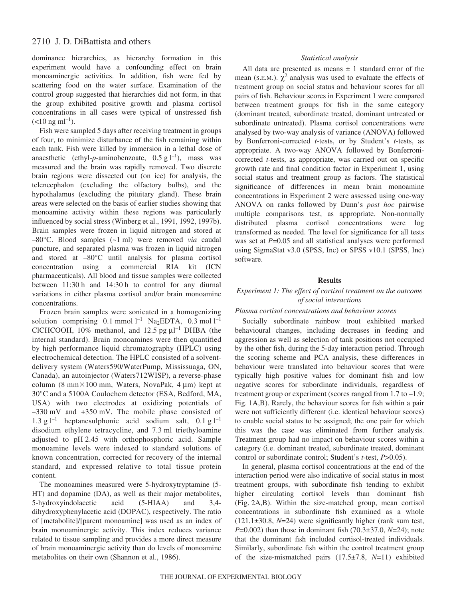dominance hierarchies, as hierarchy formation in this experiment would have a confounding effect on brain monoaminergic activities. In addition, fish were fed by scattering food on the water surface. Examination of the control group suggested that hierarchies did not form, in that the group exhibited positive growth and plasma cortisol concentrations in all cases were typical of unstressed fish  $(<10 \text{ ng ml}^{-1})$ .

Fish were sampled 5 days after receiving treatment in groups of four, to minimize disturbance of the fish remaining within each tank. Fish were killed by immersion in a lethal dose of anaesthetic (ethyl-p-aminobenzoate,  $0.5 g l^{-1}$ ), mass was measured and the brain was rapidly removed. Two discrete brain regions were dissected out (on ice) for analysis, the telencephalon (excluding the olfactory bulbs), and the hypothalamus (excluding the pituitary gland). These brain areas were selected on the basis of earlier studies showing that monoamine activity within these regions was particularly influenced by social stress (Winberg et al., 1991, 1992, 1997b). Brain samples were frozen in liquid nitrogen and stored at –80°C. Blood samples (~1·ml) were removed *via* caudal puncture, and separated plasma was frozen in liquid nitrogen and stored at –80°C until analysis for plasma cortisol concentration using a commercial RIA kit (ICN pharmaceuticals). All blood and tissue samples were collected between  $11:30 h$  and  $14:30 h$  to control for any diurnal variations in either plasma cortisol and/or brain monoamine concentrations.

Frozen brain samples were sonicated in a homogenizing solution comprising  $0.1$  mmol  $l^{-1}$  Na<sub>2</sub>EDTA,  $0.3$  mol  $l^{-1}$ CICHCOOH, 10% methanol, and 12.5 pg  $\mu$ 1<sup>-1</sup> DHBA (the internal standard). Brain monoamines were then quantified by high performance liquid chromatography (HPLC) using electrochemical detection. The HPLC consisted of a solventdelivery system (Waters590/WaterPump, Mississuaga, ON, Canada), an autoinjector (Waters712WISP), a reverse-phase column (8 mm $\times$ 100 mm, Waters, NovaPak, 4 µm) kept at 30°C and a 5100A Coulochem detector (ESA, Bedford, MA, USA) with two electrodes at oxidizing potentials of  $-330$  mV and  $+350$  mV. The mobile phase consisted of 1.3 g  $l^{-1}$  heptanesulphonic acid sodium salt, 0.1 g  $l^{-1}$ disodium ethylene tetracycline, and 7.3 ml triethyloamine adjusted to pH 2.45 with orthophosphoric acid. Sample monoamine levels were indexed to standard solutions of known concentration, corrected for recovery of the internal standard, and expressed relative to total tissue protein content.

The monoamines measured were 5-hydroxytryptamine (5- HT) and dopamine (DA), as well as their major metabolites, 5-hydroxyindolacetic acid (5-HIAA) and 3,4 dihydroxyphenylacetic acid (DOPAC), respectively. The ratio of [metabolite]/[parent monoamine] was used as an index of brain monoaminergic activity. This index reduces variance related to tissue sampling and provides a more direct measure of brain monoaminergic activity than do levels of monoamine metabolites on their own (Shannon et al., 1986).

### *Statistical analysis*

All data are presented as means  $\pm$  1 standard error of the mean (S.E.M.).  $\chi^2$  analysis was used to evaluate the effects of treatment group on social status and behaviour scores for all pairs of fish. Behaviour scores in Experiment 1 were compared between treatment groups for fish in the same category (dominant treated, subordinate treated, dominant untreated or subordinate untreated). Plasma cortisol concentrations were analysed by two-way analysis of variance (ANOVA) followed by Bonferroni-corrected *t*-tests, or by Student's *t*-tests, as appropriate. A two-way ANOVA followed by Bonferronicorrected *t*-tests, as appropriate, was carried out on specific growth rate and final condition factor in Experiment 1, using social status and treatment group as factors. The statistical significance of differences in mean brain monoamine concentrations in Experiment 2 were assessed using one-way ANOVA on ranks followed by Dunn's *post hoc* pairwise multiple comparisons test, as appropriate. Non-normally distributed plasma cortisol concentrations were log transformed as needed. The level for significance for all tests was set at  $P=0.05$  and all statistical analyses were performed using SigmaStat v3.0 (SPSS, Inc) or SPSS v10.1 (SPSS, Inc) software.

### **Results**

## *Experiment 1: The effect of cortisol treatment on the outcome of social interactions*

#### *Plasma cortisol concentrations and behaviour scores*

Socially subordinate rainbow trout exhibited marked behavioural changes, including decreases in feeding and aggression as well as selection of tank positions not occupied by the other fish, during the 5-day interaction period. Through the scoring scheme and PCA analysis, these differences in behaviour were translated into behaviour scores that were typically high positive values for dominant fish and low negative scores for subordinate individuals, regardless of treatment group or experiment (scores ranged from 1.7 to –1.9; Fig. 1A,B). Rarely, the behaviour scores for fish within a pair were not sufficiently different (i.e. identical behaviour scores) to enable social status to be assigned; the one pair for which this was the case was eliminated from further analysis. Treatment group had no impact on behaviour scores within a category (i.e. dominant treated, subordinate treated, dominant control or subordinate control; Student's *t*-test, *P*>0.05).

In general, plasma cortisol concentrations at the end of the interaction period were also indicative of social status in most treatment groups, with subordinate fish tending to exhibit higher circulating cortisol levels than dominant fish (Fig. 2A,B). Within the size-matched group, mean cortisol concentrations in subordinate fish examined as a whole (121.1±30.8, *N*=24) were significantly higher (rank sum test, *P*=0.002) than those in dominant fish (70.3±37.0, *N*=24); note that the dominant fish included cortisol-treated individuals. Similarly, subordinate fish within the control treatment group of the size-mismatched pairs (17.5±7.8, *N*=11) exhibited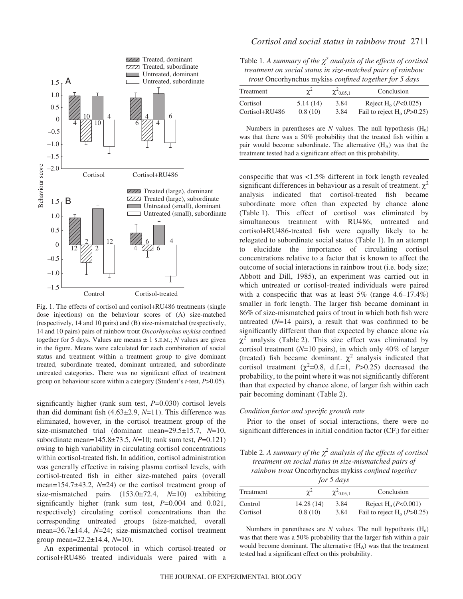

Fig. 1. The effects of cortisol and cortisol+RU486 treatments (single dose injections) on the behaviour scores of (A) size-matched (respectively, 14 and 10 pairs) and (B) size-mismatched (respectively, 14 and 10 pairs) pairs of rainbow trout *Oncorhynchus mykiss* confined together for 5 days. Values are means  $\pm$  1 s.E.M.; *N* values are given in the figure. Means were calculated for each combination of social status and treatment within a treatment group to give dominant treated, subordinate treated, dominant untreated, and subordinate untreated categories. There was no significant effect of treatment group on behaviour score within a category (Student's *t*-test, *P*>0.05).

significantly higher (rank sum test, *P*=0.030) cortisol levels than did dominant fish (4.63±2.9, *N*=11). This difference was eliminated, however, in the cortisol treatment group of the size-mismatched trial (dominant mean=29.5±15.7, *N*=10, subordinate mean=145.8±73.5, *N*=10; rank sum test, *P*=0.121) owing to high variability in circulating cortisol concentrations within cortisol-treated fish. In addition, cortisol administration was generally effective in raising plasma cortisol levels, with cortisol-treated fish in either size-matched pairs (overall mean=154.7±43.2, *N*=24) or the cortisol treatment group of size-mismatched pairs (153.0±72.4, *N*=10) exhibiting significantly higher (rank sum test, *P*=0.004 and 0.021, respectively) circulating cortisol concentrations than the corresponding untreated groups (size-matched, overall mean=36.7±14.4, *N*=24; size-mismatched cortisol treatment group mean=22.2±14.4, *N*=10).

An experimental protocol in which cortisol-treated or cortisol+RU486 treated individuals were paired with a

Table 1. A summary of the  $\chi^2$  analysis of the effects of cortisol *treatment on social status in size-matched pairs of rainbow trout* Oncorhynchus mykiss *confined together for 5 days*

| Treatment      | $\chi^2$ | $\chi^2$ 0.05,1 | Conclusion                        |
|----------------|----------|-----------------|-----------------------------------|
| Cortisol       | 5.14(14) | 3.84            | Reject H <sub>0</sub> $(P<0.025)$ |
| Cortisol+RU486 | 0.8(10)  | 3.84            | Fail to reject $H_0(P>0.25)$      |

Numbers in parentheses are *N* values. The null hypothesis  $(H_0)$ was that there was a 50% probability that the treated fish within a pair would become subordinate. The alternative  $(H_A)$  was that the treatment tested had a significant effect on this probability.

conspecific that was <1.5% different in fork length revealed significant differences in behaviour as a result of treatment.  $\chi^2$ analysis indicated that cortisol-treated fish became subordinate more often than expected by chance alone (Table·1). This effect of cortisol was eliminated by simultaneous treatment with RU486; untreated and cortisol+RU486-treated fish were equally likely to be relegated to subordinate social status (Table 1). In an attempt to elucidate the importance of circulating cortisol concentrations relative to a factor that is known to affect the outcome of social interactions in rainbow trout (i.e. body size; Abbott and Dill, 1985), an experiment was carried out in which untreated or cortisol-treated individuals were paired with a conspecific that was at least 5% (range 4.6–17.4%) smaller in fork length. The larger fish became dominant in 86% of size-mismatched pairs of trout in which both fish were untreated (*N*=14 pairs), a result that was confirmed to be significantly different than that expected by chance alone *via*  $\chi^2$  analysis (Table 2). This size effect was eliminated by cortisol treatment (*N*=10 pairs), in which only 40% of larger (treated) fish became dominant.  $\chi^2$  analysis indicated that cortisol treatment  $(\chi^2=0.8, d.f.=1, P>0.25)$  decreased the probability, to the point where it was not significantly different than that expected by chance alone, of larger fish within each pair becoming dominant (Table 2).

#### *Condition factor and specific growth rate*

Prior to the onset of social interactions, there were no significant differences in initial condition factor  $(CF_i)$  for either

Table 2. A summary of the  $\chi^2$  analysis of the effects of cortisol *treatment on social status in size-mismatched pairs of rainbow trout* Oncorhynchus mykiss *confined together for 5 days*

| for 5 days |           |                 |                               |  |  |  |
|------------|-----------|-----------------|-------------------------------|--|--|--|
| Treatment  |           | $\chi^2$ 0.05,1 | Conclusion                    |  |  |  |
| Control    | 14.28(14) | 3.84            | Reject $H_0(P<0.001)$         |  |  |  |
| Cortisol   | 0.8(10)   | 3.84            | Fail to reject $H_0$ (P>0.25) |  |  |  |

Numbers in parentheses are  $N$  values. The null hypothesis  $(H_0)$ was that there was a 50% probability that the larger fish within a pair would become dominant. The alternative (H<sub>A</sub>) was that the treatment tested had a significant effect on this probability.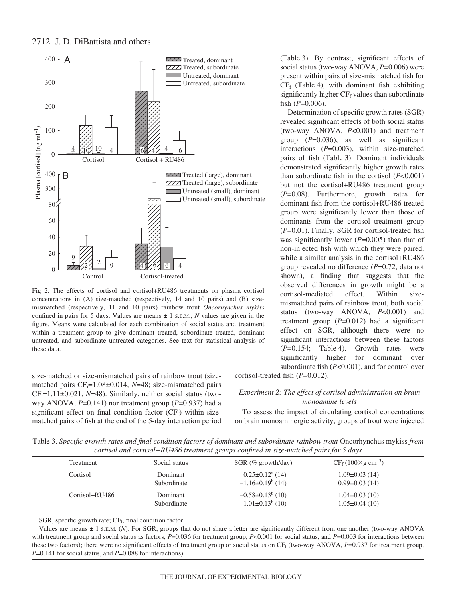

Fig. 2. The effects of cortisol and cortisol+RU486 treatments on plasma cortisol concentrations in (A) size-matched (respectively, 14 and 10 pairs) and (B) sizemismatched (respectively, 11 and 10 pairs) rainbow trout *Oncorhynchus mykiss* confined in pairs for 5 days. Values are means  $\pm$  1 s.E.M.; *N* values are given in the figure. Means were calculated for each combination of social status and treatment within a treatment group to give dominant treated, subordinate treated, dominant untreated, and subordinate untreated categories. See text for statistical analysis of these data.

size-matched or size-mismatched pairs of rainbow trout (sizematched pairs CF<sub>i</sub>=1.08±0.014, *N*=48; size-mismatched pairs  $CF_i=1.11\pm0.021$ ,  $N=48$ ). Similarly, neither social status (twoway ANOVA, *P*=0.141) nor treatment group (*P*=0.937) had a significant effect on final condition factor  $(CF_f)$  within sizematched pairs of fish at the end of the 5-day interaction period (Table 3). By contrast, significant effects of social status (two-way ANOVA, *P*=0.006) were present within pairs of size-mismatched fish for  $CF_f$  (Table 4), with dominant fish exhibiting significantly higher  $CF_f$  values than subordinate fish  $(P=0.006)$ .

Determination of specific growth rates (SGR) revealed significant effects of both social status (two-way ANOVA, *P*<0.001) and treatment group (*P*=0.036), as well as significant interactions (*P*=0.003), within size-matched pairs of fish (Table 3). Dominant individuals demonstrated significantly higher growth rates than subordinate fish in the cortisol (*P*<0.001) but not the cortisol+RU486 treatment group (*P*=0.08). Furthermore, growth rates for dominant fish from the cortisol+RU486 treated group were significantly lower than those of dominants from the cortisol treatment group (*P*=0.01). Finally, SGR for cortisol-treated fish was significantly lower (*P*=0.005) than that of non-injected fish with which they were paired, while a similar analysis in the cortisol+RU486 group revealed no difference (*P*=0.72, data not shown), a finding that suggests that the observed differences in growth might be a cortisol-mediated effect. Within sizemismatched pairs of rainbow trout, both social status (two-way ANOVA, *P*<0.001) and treatment group (*P*=0.012) had a significant effect on SGR, although there were no significant interactions between these factors  $(P=0.154;$  Table 4). Growth rates were significantly higher for dominant over subordinate fish (*P*<0.001), and for control over

cortisol-treated fish (*P*=0.012).

### *Experiment 2: The effect of cortisol administration on brain monoamine levels*

To assess the impact of circulating cortisol concentrations on brain monoaminergic activity, groups of trout were injected

Table 3. Specific growth rates and final condition factors of dominant and subordinate rainbow trout Oncorhynchus mykiss from *cortisol and cortisol+RU486 treatment groups confined in size-matched pairs for 5 days*

| Treatment      | Social status           | $SGR$ (% growth/day)                                         | $CF_f (100 \times g cm^{-3})$            |  |
|----------------|-------------------------|--------------------------------------------------------------|------------------------------------------|--|
| Cortisol       | Dominant<br>Subordinate | $0.25 \pm 0.12$ <sup>a</sup> (14)<br>$-1.16\pm0.19^{b}$ (14) | $1.09\pm0.03(14)$<br>$0.99\pm0.03(14)$   |  |
| Cortisol+RU486 | Dominant<br>Subordinate | $-0.58\pm0.13^{b}$ (10)<br>$-1.01\pm0.13^{b}$ (10)           | $1.04\pm0.03(10)$<br>$1.05 \pm 0.04(10)$ |  |

SGR, specific growth rate;  $CF_f$ , final condition factor.

Values are means ± 1 S.E.M. (*N*). For SGR, groups that do not share a letter are significantly different from one another (two-way ANOVA with treatment group and social status as factors, *P*=0.036 for treatment group, *P*<0.001 for social status, and *P*=0.003 for interactions between these two factors); there were no significant effects of treatment group or social status on  $CF_f$  (two-way ANOVA,  $P=0.937$  for treatment group, *P*=0.141 for social status, and *P*=0.088 for interactions).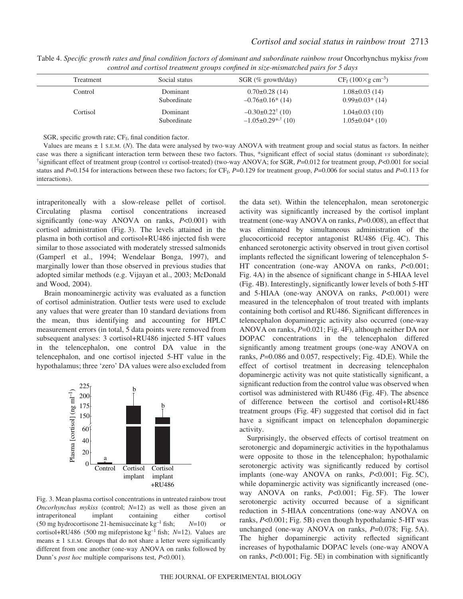| Treatment | Social status           | $SGR$ (% growth/day)                                      | $CF_f (100 \times g cm^{-3})$               |  |
|-----------|-------------------------|-----------------------------------------------------------|---------------------------------------------|--|
| Control   | Dominant<br>Subordinate | $0.70\pm0.28(14)$<br>$-0.76\pm0.16*(14)$                  | $1.08 \pm 0.03$ (14)<br>$0.99\pm0.03*$ (14) |  |
| Cortisol  | Dominant<br>Subordinate | $-0.30\pm0.22^{\dagger}$ (10)<br>$-1.05\pm0.29$ ** $(10)$ | $1.04\pm0.03(10)$<br>$1.05\pm0.04*(10)$     |  |

Table 4. Specific growth rates and final condition factors of dominant and subordinate rainbow trout Oncorhynchus mykiss from *control and cortisol treatment groups confined in size-mismatched pairs for 5 days*

SGR, specific growth rate;  $CF_f$ , final condition factor.

Values are means ± 1 S.E.M. (*N*). The data were analysed by two-way ANOVA with treatment group and social status as factors. In neither case was there a significant interaction term between these two factors. Thus, \*significant effect of social status (dominant *vs* subordinate); † significant effect of treatment group (control *vs* cortisol-treated) (two-way ANOVA; for SGR, *P*=0.012 for treatment group, *P*<0.001 for social status and  $P=0.154$  for interactions between these two factors; for CF<sub>f</sub>,  $P=0.129$  for treatment group,  $P=0.006$  for social status and  $P=0.113$  for interactions).

intraperitoneally with a slow-release pellet of cortisol. Circulating plasma cortisol concentrations increased significantly (one-way ANOVA on ranks, *P*<0.001) with cortisol administration (Fig. 3). The levels attained in the plasma in both cortisol and cortisol+RU486 injected fish were similar to those associated with moderately stressed salmonids (Gamperl et al., 1994; Wendelaar Bonga, 1997), and marginally lower than those observed in previous studies that adopted similar methods (e.g. Vijayan et al., 2003; McDonald and Wood, 2004).

Brain monoaminergic activity was evaluated as a function of cortisol administration. Outlier tests were used to exclude any values that were greater than 10 standard deviations from the mean, thus identifying and accounting for HPLC measurement errors (in total, 5 data points were removed from subsequent analyses: 3 cortisol+RU486 injected 5-HT values in the telencephalon, one control DA value in the telencephalon, and one cortisol injected 5-HT value in the hypothalamus; three 'zero' DA values were also excluded from



Fig. 3. Mean plasma cortisol concentrations in untreated rainbow trout *Oncorhynchus mykiss* (control; *N*=12) as well as those given an intraperitoneal implant containing either cortisol (50 mg hydrocortisone 21-hemisuccinate  $kg^{-1}$  fish;  $N=10$ ) or cortisol+RU486 (500 mg mifepristone  $kg^{-1}$  fish; *N*=12). Values are means  $\pm$  1 s.E.M. Groups that do not share a letter were significantly different from one another (one-way ANOVA on ranks followed by Dunn's *post hoc* multiple comparisons test, *P*<0.001).

the data set). Within the telencephalon, mean serotonergic activity was significantly increased by the cortisol implant treatment (one-way ANOVA on ranks, *P*=0.008), an effect that was eliminated by simultaneous administration of the glucocorticoid receptor antagonist RU486 (Fig. 4C). This enhanced serotonergic activity observed in trout given cortisol implants reflected the significant lowering of telencephalon 5- HT concentration (one-way ANOVA on ranks, *P*<0.001; Fig. 4A) in the absence of significant change in 5-HIAA level (Fig. 4B). Interestingly, significantly lower levels of both 5-HT and 5-HIAA (one-way ANOVA on ranks, *P*<0.001) were measured in the telencephalon of trout treated with implants containing both cortisol and RU486. Significant differences in telencephalon dopaminergic activity also occurred (one-way ANOVA on ranks,  $P=0.021$ ; Fig. 4F), although neither DA nor DOPAC concentrations in the telencephalon differed significantly among treatment groups (one-way ANOVA on ranks,  $P=0.086$  and 0.057, respectively; Fig. 4D,E). While the effect of cortisol treatment in decreasing telencephalon dopaminergic activity was not quite statistically significant, a significant reduction from the control value was observed when cortisol was administered with RU486 (Fig. 4F). The absence of difference between the cortisol and cortisol+RU486 treatment groups (Fig. 4F) suggested that cortisol did in fact have a significant impact on telencephalon dopaminergic activity.

Surprisingly, the observed effects of cortisol treatment on serotonergic and dopaminergic activities in the hypothalamus were opposite to those in the telencephalon; hypothalamic serotonergic activity was significantly reduced by cortisol implants (one-way ANOVA on ranks, *P*<0.001; Fig. 5C), while dopaminergic activity was significantly increased (oneway ANOVA on ranks, *P*<0.001; Fig. 5F). The lower serotonergic activity occurred because of a significant reduction in 5-HIAA concentrations (one-way ANOVA on ranks, *P*<0.001; Fig. 5B) even though hypothalamic 5-HT was unchanged (one-way ANOVA on ranks,  $P=0.078$ ; Fig. 5A). The higher dopaminergic activity reflected significant increases of hypothalamic DOPAC levels (one-way ANOVA on ranks, *P<*0.001; Fig. 5E) in combination with significantly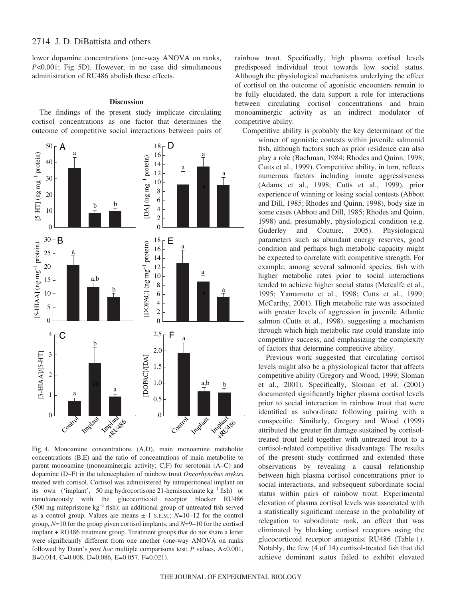lower dopamine concentrations (one-way ANOVA on ranks, *P*<0.001; Fig. 5D). However, in no case did simultaneous administration of RU486 abolish these effects.

#### **Discussion**

The findings of the present study implicate circulating cortisol concentrations as one factor that determines the outcome of competitive social interactions between pairs of



Fig. 4. Monoamine concentrations (A,D), main monoamine metabolite concentrations (B,E) and the ratio of concentrations of main metabolite to parent monoamine (monoaminergic activity; C,F) for serotonin (A–C) and dopamine (D–F) in the telencephalon of rainbow trout *Oncorhynchus mykiss* treated with cortisol. Cortisol was administered by intraperitoneal implant on its own ('implant', 50 mg hydrocortisone 21-hemisuccinate  $kg^{-1}$  fish) or simultaneously with the glucocorticoid receptor blocker RU486 (500 mg mifepristone  $kg^{-1}$  fish); an additional group of untreated fish served as a control group. Values are means  $\pm$  1 s.E.M.;  $N=10-12$  for the control group, *N*=10 for the group given cortisol implants, and *N*=9–10 for the cortisol implant + RU486 treatment group. Treatment groups that do not share a letter were significantly different from one another (one-way ANOVA on ranks followed by Dunn's *post hoc* multiple comparisons test; *P* values, A<0.001, B=0.014, C=0.008, D=0.086, E=0.057, F=0.021).

rainbow trout. Specifically, high plasma cortisol levels predisposed individual trout towards low social status. Although the physiological mechanisms underlying the effect of cortisol on the outcome of agonistic encounters remain to be fully elucidated, the data support a role for interactions between circulating cortisol concentrations and brain monoaminergic activity as an indirect modulator of competitive ability.

Competitive ability is probably the key determinant of the winner of agonistic contests within juvenile salmonid fish, although factors such as prior residence can also play a role (Bachman, 1984; Rhodes and Quinn, 1998; Cutts et al., 1999). Competitive ability, in turn, reflects numerous factors including innate aggressiveness (Adams et al., 1998; Cutts et al., 1999), prior experience of winning or losing social contests (Abbott and Dill, 1985; Rhodes and Quinn, 1998), body size in some cases (Abbott and Dill, 1985; Rhodes and Quinn, 1998) and, presumably, physiological condition (e.g. Guderley and Couture, 2005). Physiological parameters such as abundant energy reserves, good condition and perhaps high metabolic capacity might be expected to correlate with competitive strength. For example, among several salmonid species, fish with higher metabolic rates prior to social interactions tended to achieve higher social status (Metcalfe et al., 1995; Yamamoto et al., 1998; Cutts et al., 1999; McCarthy, 2001). High metabolic rate was associated with greater levels of aggression in juvenile Atlantic salmon (Cutts et al., 1998), suggesting a mechanism through which high metabolic rate could translate into competitive success, and emphasizing the complexity of factors that determine competitive ability.

Previous work suggested that circulating cortisol levels might also be a physiological factor that affects competitive ability (Gregory and Wood, 1999; Sloman et al., 2001). Specifically, Sloman et al. (2001) documented significantly higher plasma cortisol levels prior to social interaction in rainbow trout that were identified as subordinate following pairing with a conspecific. Similarly, Gregory and Wood (1999) attributed the greater fin damage sustained by cortisoltreated trout held together with untreated trout to a cortisol-related competitive disadvantage. The results of the present study confirmed and extended these observations by revealing a causal relationship between high plasma cortisol concentrations prior to social interactions, and subsequent subordinate social status within pairs of rainbow trout. Experimental elevation of plasma cortisol levels was associated with a statistically significant increase in the probability of relegation to subordinate rank, an effect that was eliminated by blocking cortisol receptors using the glucocorticoid receptor antagonist RU486 (Table 1). Notably, the few (4 of 14) cortisol-treated fish that did achieve dominant status failed to exhibit elevated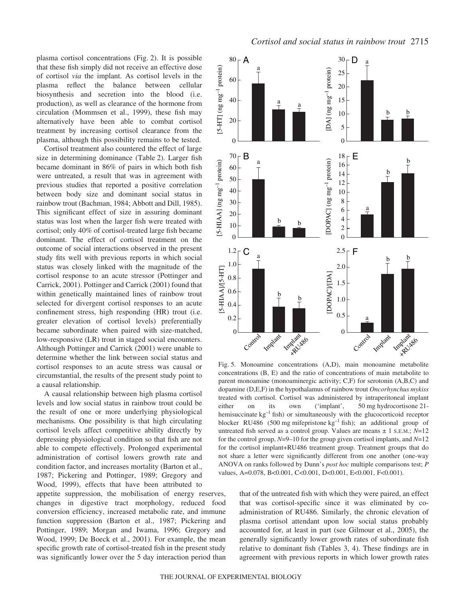plasma cortisol concentrations (Fig. 2). It is possible that these fish simply did not receive an effective dose of cortisol *via* the implant. As cortisol levels in the plasma reflect the balance between cellular biosynthesis and secretion into the blood (i.e. production), as well as clearance of the hormone from circulation (Mommsen et al., 1999), these fish may alternatively have been able to combat cortisol treatment by increasing cortisol clearance from the plasma, although this possibility remains to be tested.

Cortisol treatment also countered the effect of large size in determining dominance (Table 2). Larger fish became dominant in 86% of pairs in which both fish were untreated, a result that was in agreement with previous studies that reported a positive correlation between body size and dominant social status in rainbow trout (Bachman, 1984; Abbott and Dill, 1985). This significant effect of size in assuring dominant status was lost when the larger fish were treated with cortisol; only 40% of cortisol-treated large fish became dominant. The effect of cortisol treatment on the outcome of social interactions observed in the present study fits well with previous reports in which social status was closely linked with the magnitude of the cortisol response to an acute stressor (Pottinger and Carrick, 2001). Pottinger and Carrick (2001) found that within genetically maintained lines of rainbow trout selected for divergent cortisol responses to an acute confinement stress, high responding (HR) trout (i.e. greater elevation of cortisol levels) preferentially became subordinate when paired with size-matched, low-responsive (LR) trout in staged social encounters. Although Pottinger and Carrick (2001) were unable to determine whether the link between social status and cortisol responses to an acute stress was causal or circumstantial, the results of the present study point to a causal relationship.

A causal relationship between high plasma cortisol levels and low social status in rainbow trout could be the result of one or more underlying physiological mechanisms. One possibility is that high circulating cortisol levels affect competitive ability directly by depressing physiological condition so that fish are not able to compete effectively. Prolonged experimental administration of cortisol lowers growth rate and condition factor, and increases mortality (Barton et al., 1987; Pickering and Pottinger, 1989; Gregory and Wood, 1999), effects that have been attributed to

appetite suppression, the mobilisation of energy reserves, changes in digestive tract morphology, reduced food conversion efficiency, increased metabolic rate, and immune function suppression (Barton et al., 1987; Pickering and Pottinger, 1989; Morgan and Iwama, 1996; Gregory and Wood, 1999; De Boeck et al., 2001). For example, the mean specific growth rate of cortisol-treated fish in the present study was significantly lower over the 5 day interaction period than



Fig. 5. Monoamine concentrations (A,D), main monoamine metabolite concentrations (B, E) and the ratio of concentrations of main metabolite to parent monoamine (monoaminergic activity; C,F) for serotonin (A,B,C) and dopamine (D,E,F) in the hypothalamus of rainbow trout *Oncorhynchus mykiss* treated with cortisol. Cortisol was administered by intraperitoneal implant either on its own ('implant',  $50 \text{ mg}$  hydrocortisone 21hemisuccinate  $kg^{-1}$  fish) or simultaneously with the glucocorticoid receptor blocker RU486 (500 mg mifepristone  $kg^{-1}$  fish); an additional group of untreated fish served as a control group. Values are means ± 1 S.E.M.; *N*=12 for the control group, *N*=9–10 for the group given cortisol implants, and *N*=12 for the cortisol implant+RU486 treatment group. Treatment groups that do not share a letter were significantly different from one another (one-way ANOVA on ranks followed by Dunn's *post hoc* multiple comparisons test; *P* values, A=0.078, B<0.001, C<0.001, D<0.001, E<0.001, F<0.001).

that of the untreated fish with which they were paired, an effect that was cortisol-specific since it was eliminated by coadministration of RU486. Similarly, the chronic elevation of plasma cortisol attendant upon low social status probably accounted for, at least in part (see Gilmour et al., 2005), the generally significantly lower growth rates of subordinate fish relative to dominant fish (Tables 3, 4). These findings are in agreement with previous reports in which lower growth rates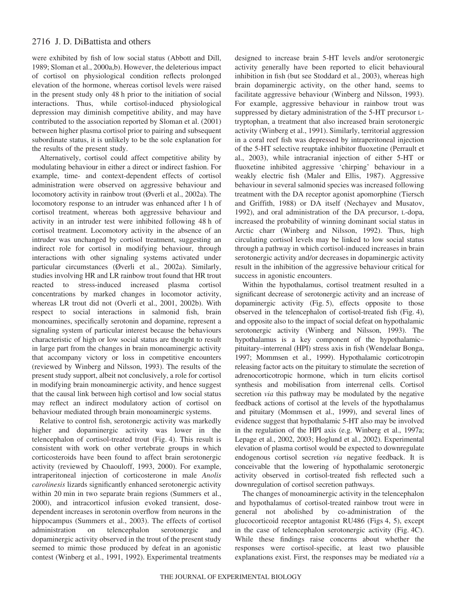were exhibited by fish of low social status (Abbott and Dill, 1989; Sloman et al., 2000a,b). However, the deleterious impact of cortisol on physiological condition reflects prolonged elevation of the hormone, whereas cortisol levels were raised in the present study only 48 h prior to the initiation of social interactions. Thus, while cortisol-induced physiological depression may diminish competitive ability, and may have contributed to the association reported by Sloman et al. (2001) between higher plasma cortisol prior to pairing and subsequent subordinate status, it is unlikely to be the sole explanation for the results of the present study.

Alternatively, cortisol could affect competitive ability by modulating behaviour in either a direct or indirect fashion. For example, time- and context-dependent effects of cortisol administration were observed on aggressive behaviour and locomotory activity in rainbow trout (Øverli et al., 2002a). The locomotory response to an intruder was enhanced after 1 h of cortisol treatment, whereas both aggressive behaviour and activity in an intruder test were inhibited following 48 h of cortisol treatment. Locomotory activity in the absence of an intruder was unchanged by cortisol treatment, suggesting an indirect role for cortisol in modifying behaviour, through interactions with other signaling systems activated under particular circumstances (Øverli et al., 2002a). Similarly, studies involving HR and LR rainbow trout found that HR trout reacted to stress-induced increased plasma cortisol concentrations by marked changes in locomotor activity, whereas LR trout did not (Overli et al., 2001, 2002b). With respect to social interactions in salmonid fish, brain monoamines, specifically serotonin and dopamine, represent a signaling system of particular interest because the behaviours characteristic of high or low social status are thought to result in large part from the changes in brain monoaminergic activity that accompany victory or loss in competitive encounters (reviewed by Winberg and Nilsson, 1993). The results of the present study support, albeit not conclusively, a role for cortisol in modifying brain monoaminergic activity, and hence suggest that the causal link between high cortisol and low social status may reflect an indirect modulatory action of cortisol on behaviour mediated through brain monoaminergic systems.

Relative to control fish, serotonergic activity was markedly higher and dopaminergic activity was lower in the telencephalon of cortisol-treated trout (Fig. 4). This result is consistent with work on other vertebrate groups in which corticosteroids have been found to affect brain serotonergic activity (reviewed by Chaouloff, 1993, 2000). For example, intraperitoneal injection of corticosterone in male *Anolis carolinesis* lizards significantly enhanced serotonergic activity within 20 min in two separate brain regions (Summers et al., 2000), and intracorticol infusion evoked transient, dosedependent increases in serotonin overflow from neurons in the hippocampus (Summers et al., 2003). The effects of cortisol administration on telencephalon serotonergic and dopaminergic activity observed in the trout of the present study seemed to mimic those produced by defeat in an agonistic contest (Winberg et al., 1991, 1992). Experimental treatments

designed to increase brain 5-HT levels and/or serotonergic activity generally have been reported to elicit behavioural inhibition in fish (but see Stoddard et al., 2003), whereas high brain dopaminergic activity, on the other hand, seems to facilitate aggressive behaviour (Winberg and Nilsson, 1993). For example, aggressive behaviour in rainbow trout was suppressed by dietary administration of the 5-HT precursor Ltryptophan, a treatment that also increased brain serotonergic activity (Winberg et al., 1991). Similarly, territorial aggression in a coral reef fish was depressed by intraperitoneal injection of the 5-HT selective reuptake inhibitor fluoxetine (Perrault et al., 2003), while intracranial injection of either 5-HT or fluoxetine inhibited aggressive 'chirping' behaviour in a weakly electric fish (Maler and Ellis, 1987). Aggressive behaviour in several salmonid species was increased following treatment with the DA receptor agonist apomorphine (Tiersch and Griffith, 1988) or DA itself (Nechayev and Musatov, 1992), and oral administration of the DA precursor, L-dopa, increased the probability of winning dominant social status in Arctic charr (Winberg and Nilsson, 1992). Thus, high circulating cortisol levels may be linked to low social status through a pathway in which cortisol-induced increases in brain serotonergic activity and/or decreases in dopaminergic activity result in the inhibition of the aggressive behaviour critical for success in agonistic encounters.

Within the hypothalamus, cortisol treatment resulted in a significant decrease of serotonergic activity and an increase of dopaminergic activity (Fig. 5), effects opposite to those observed in the telencephalon of cortisol-treated fish (Fig. 4), and opposite also to the impact of social defeat on hypothalamic serotonergic activity (Winberg and Nilsson, 1993). The hypothalamus is a key component of the hypothalamic– pituitary–interrenal (HPI) stress axis in fish (Wendelaar Bonga, 1997; Mommsen et al., 1999). Hypothalamic corticotropin releasing factor acts on the pituitary to stimulate the secretion of adrenocorticotropic hormone, which in turn elicits cortisol synthesis and mobilisation from interrenal cells. Cortisol secretion *via* this pathway may be modulated by the negative feedback actions of cortisol at the levels of the hypothalamus and pituitary (Mommsen et al., 1999), and several lines of evidence suggest that hypothalamic 5-HT also may be involved in the regulation of the HPI axis (e.g. Winberg et al., 1997a; Lepage et al., 2002, 2003; Hoglund et al., 2002). Experimental elevation of plasma cortisol would be expected to downregulate endogenous cortisol secretion *via* negative feedback. It is conceivable that the lowering of hypothalamic serotonergic activity observed in cortisol-treated fish reflected such a downregulation of cortisol secretion pathways.

The changes of monoaminergic activity in the telencephalon and hypothalamus of cortisol-treated rainbow trout were in general not abolished by co-administration of the glucocorticoid receptor antagonist RU486 (Figs 4, 5), except in the case of telencephalon serotonergic activity (Fig. 4C). While these findings raise concerns about whether the responses were cortisol-specific, at least two plausible explanations exist. First, the responses may be mediated *via* a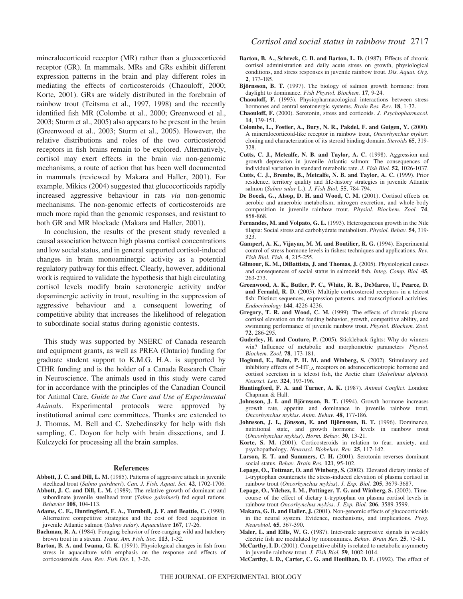mineralocorticoid receptor (MR) rather than a glucocorticoid receptor (GR). In mammals, MRs and GRs exhibit different expression patterns in the brain and play different roles in mediating the effects of corticosteroids (Chaouloff, 2000; Korte, 2001). GRs are widely distributed in the forebrain of rainbow trout (Teitsma et al., 1997, 1998) and the recently identified fish MR (Colombe et al., 2000; Greenwood et al., 2003; Sturm et al., 2005) also appears to be present in the brain (Greenwood et al., 2003; Sturm et al., 2005). However, the relative distributions and roles of the two corticosteroid receptors in fish brains remain to be explored. Alternatively, cortisol may exert effects in the brain *via* non-genomic mechanisms, a route of action that has been well documented in mammals (reviewed by Makara and Haller, 2001). For example, Mikics (2004) suggested that glucocorticoids rapidly increased aggressive behaviour in rats *via* non-genomic mechanisms. The non-genomic effects of corticosteroids are much more rapid than the genomic responses, and resistant to both GR and MR blockade (Makara and Haller, 2001).

In conclusion, the results of the present study revealed a causal association between high plasma cortisol concentrations and low social status, and in general supported cortisol-induced changes in brain monoaminergic activity as a potential regulatory pathway for this effect. Clearly, however, additional work is required to validate the hypothesis that high circulating cortisol levels modify brain serotonergic activity and/or dopaminergic activity in trout, resulting in the suppression of aggressive behaviour and a consequent lowering of competitive ability that increases the likelihood of relegation to subordinate social status during agonistic contests.

This study was supported by NSERC of Canada research and equipment grants, as well as PREA (Ontario) funding for graduate student support to K.M.G. H.A. is supported by CIHR funding and is the holder of a Canada Research Chair in Neuroscience. The animals used in this study were cared for in accordance with the principles of the Canadian Council for Animal Care, *Guide to the Care and Use of Experimental Animals*. Experimental protocols were approved by institutional animal care committees. Thanks are extended to J. Thomas, M. Bell and C. Szebedinszky for help with fish sampling, C. Doyon for help with brain dissections, and J. Kulczycki for processing all the brain samples.

#### **References**

- **Abbott, J. C. and Dill, L. M.** (1985). Patterns of aggressive attack in juvenile steelhead trout (*Salmo gairdneri*). *Can. J. Fish. Aquat. Sci.* **42**, 1702-1706.
- **Abbott, J. C. and Dill, L. M.** (1989). The relative growth of dominant and subordinate juvenile steelhead trout (*Salmo gairdneri*) fed equal rations. *Behavior* **108**, 104-113.
- **Adams, C. E., Huntingford, F. A., Turnbull, J. F. and Beattie, C.** (1998). Alternative competitive strategies and the cost of food acquisition in juvenile Atlantic salmon (*Salmo salar*). *Aquaculture* **167**, 17-26.
- **Bachman, R. A.** (1984). Foraging behavior of free-ranging wild and hatchery brown trout in a stream. *Trans. Am. Fish. Soc.* **113**, 1-32.
- **Barton, B. A. and Iwama, G. K.** (1991). Physiological changes in fish from stress in aquaculture with emphasis on the response and effects of corticosteroids. *Ann. Rev. Fish Dis.* **1**, 3-26.
- **Barton, B. A., Schreck, C. B. and Barton, L. D.** (1987). Effects of chronic cortisol administration and daily acute stress on growth, physiological conditions, and stress responses in juvenile rainbow trout. *Dis. Aquat. Org.* **2**, 173-185.
- **Björnsson, B. T.** (1997). The biology of salmon growth hormone: from daylight to dominance. *Fish Physiol. Biochem.* **17**, 9-24.
- **Chaouloff, F.** (1993). Physiopharmacological interactions between stress hormones and central serotonergic systems. *Brain Res. Rev.* **18**, 1-32.
- **Chaouloff, F.** (2000). Serotonin, stress and corticoids. *J. Psychopharmacol.* **14**, 139-151.
- **Colombe, L., Fostier, A., Bury, N. R., Pakdel, F. and Guigen, Y.** (2000). A mineralocorticoid-like receptor in rainbow trout, *Oncorhynchus mykiss*: cloning and characterization of its steroid binding domain. *Steroids* **65**, 319- 328.
- **Cutts, C. J., Metcalfe, N. B. and Taylor, A. C.** (1998). Aggression and growth depression in juvenile Atlantic salmon: The consequences of individual variation in standard metabolic rate. *J. Fish Biol.* **52**, 1026-1037.
- **Cutts, C. J., Brembs, B., Metcalfe, N. B. and Taylor, A. C.** (1999). Prior residence, territory quality and life-history strategies in juvenile Atlantic salmon (*Salmo salar* L.). *J. Fish Biol.* **55**, 784-794.
- **De Boeck, G., Alsop, D. H. and Wood, C. M.** (2001). Cortisol effects on aerobic and anaerobic metabolism, nitrogen excretion, and whole-body composition in juvenile rainbow trout. *Physiol. Biochem. Zool.* **74**, 858-868.
- **Fernandes, M. and Volpato, G. L.** (1993). Heterogeneous growth in the Nile tilapia: Social stress and carbohydrate metabolism. *Physiol. Behav.* **54**, 319- 323.
- **Gamperl, A. K., Vijayan, M. M. and Boutilier, R. G.** (1994). Experimental control of stress hormone levels in fishes: techniques and applications. *Rev. Fish Biol. Fish.* **4**, 215-255.
- **Gilmour, K. M., DiBattista, J. and Thomas, J.** (2005). Physiological causes and consequences of social status in salmonid fish. *Integ. Comp. Biol.* **45**, 263-273.
- **Greenwood, A. K., Butler, P. C., White, R. B., DeMarco, U., Pearce, D. and Fernald, R. D.** (2003). Multiple corticosteroid receptors in a teleost fish: Distinct sequences, expression patterns, and transcriptional activities. *Endocrinology* **144**, 4226-4236.
- **Gregory, T. R. and Wood, C. M.** (1999). The effects of chronic plasma cortisol elevation on the feeding behavior, growth, competitive ability, and swimming performance of juvenile rainbow trout. *Physiol. Biochem. Zool.* **72**, 286-295.
- **Guderley, H. and Couture, P.** (2005). Stickleback fights: Why do winners win? Influence of metabolic and morphometric parameters. *Physiol. Biochem. Zool.* **78**, 173-181.
- **Hoglund, E., Balm, P. H. M. and Winberg, S.** (2002). Stimulatory and inhibitory effects of  $5-HT<sub>1A</sub>$  receptors on adrenocorticotropic hormone and cortisol secretion in a teleost fish, the Arctic charr (*Salvelinus alpinus*). *Neursci. Lett.* **324**, 193-196.
- **Huntingford, F. A. and Turner, A. K.** (1987). *Animal Conflict*. London: Chapman & Hall.
- **Johnsson, J. I. and Björnsson, B. T.** (1994). Growth hormone increases growth rate, appetite and dominance in juvenile rainbow trout, *Oncorhynchus mykiss*. *Anim. Behav.* **48**, 177-186.
- **Johnsson, J. I., Jönsson, E. and Björnsson, B. T.** (1996). Dominance, nutritional state, and growth hormone levels in rainbow trout (*Oncorhynchus mykiss*). *Horm. Behav.* **30**, 13-21.
- **Korte, S. M.** (2001). Corticosteroids in relation to fear, anxiety, and psychopathology. *Neurosci. Biobehav. Rev.* **25**, 117-142.
- **Larson, E. T. and Summers, C. H.** (2001). Serotonin reverses dominant social status. *Behav. Brain Res.* **121**, 95-102.
- **Lepage, O., Tottmar, O. and Winberg, S.** (2002). Elevated dietary intake of L-tryptophan counteracts the stress-induced elevation of plasma cortisol in rainbow trout (*Oncorhynchus mykiss*). *J. Exp. Biol.* **205**, 3679-3687.
- **Lepage, O., Vílchez, I. M., Pottinger, T. G. and Winberg, S.** (2003). Timecourse of the effect of dietary L-tryptophan on plasma cortisol levels in rainbow trout *Oncorhynchus mykiss*. *J. Exp. Biol.* **206**, 3589-3599.
- **Makara, G. B. and Haller, J.** (2001). Non-genomic effects of glucocorticoids in the neural system. Evidence, mechanisms, and implications. *Prog. Neurobiol.* **65**, 367-390.
- **Maler, L. and Ellis, W. G.** (1987). Inter-male aggressive signals in weakly electric fish are modulated by monoamines. *Behav. Brain Res.* **25**, 75-81.
- **McCarthy, I. D.** (2001). Competitive ability is related to metabolic asymmetry in juvenile rainbow trout. *J. Fish Biol.* **59**, 1002-1014.
- **McCarthy, I. D., Carter, C. G. and Houlihan, D. F.** (1992). The effect of